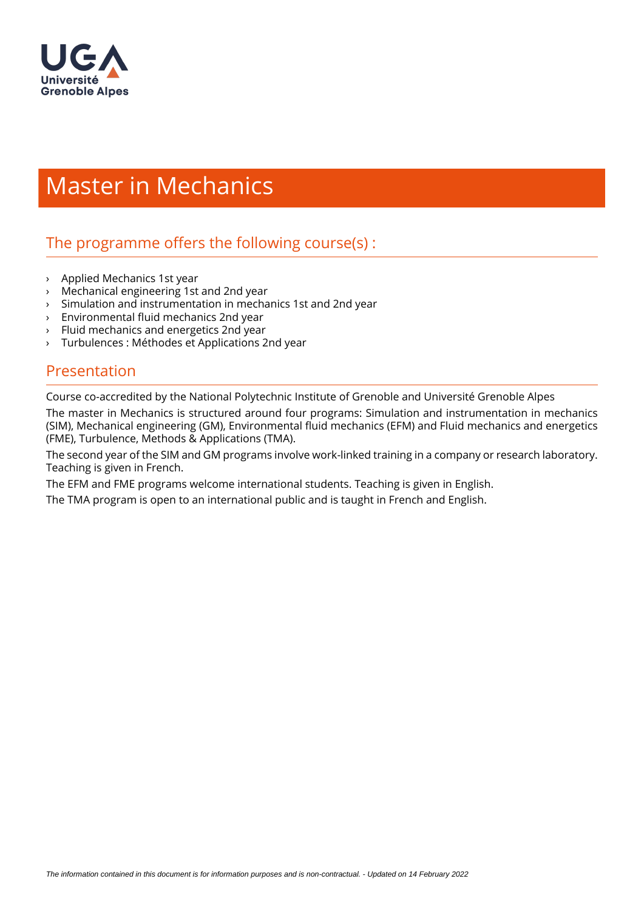

# Master in Mechanics

# The programme offers the following course $(s)$ :

- › Applied Mechanics 1st year
- › Mechanical engineering 1st and 2nd year
- › Simulation and instrumentation in mechanics 1st and 2nd year
- $\angle$  Environmental fluid mechanics 2nd year
- Fluid mechanics and energetics 2nd year
- › Turbulences : Méthodes et Applications 2nd year

#### Presentation

Course co-accredited by the National Polytechnic Institute of Grenoble and Université Grenoble Alpes The master in Mechanics is structured around four programs: Simulation and instrumentation in mechanics (SIM), Mechanical engineering (GM), Environmental fluid mechanics (EFM) and Fluid mechanics and energetics (FME), Turbulence, Methods & Applications (TMA).

The second year of the SIM and GM programs involve work-linked training in a company or research laboratory. Teaching is given in French.

The EFM and FME programs welcome international students. Teaching is given in English.

The TMA program is open to an international public and is taught in French and English.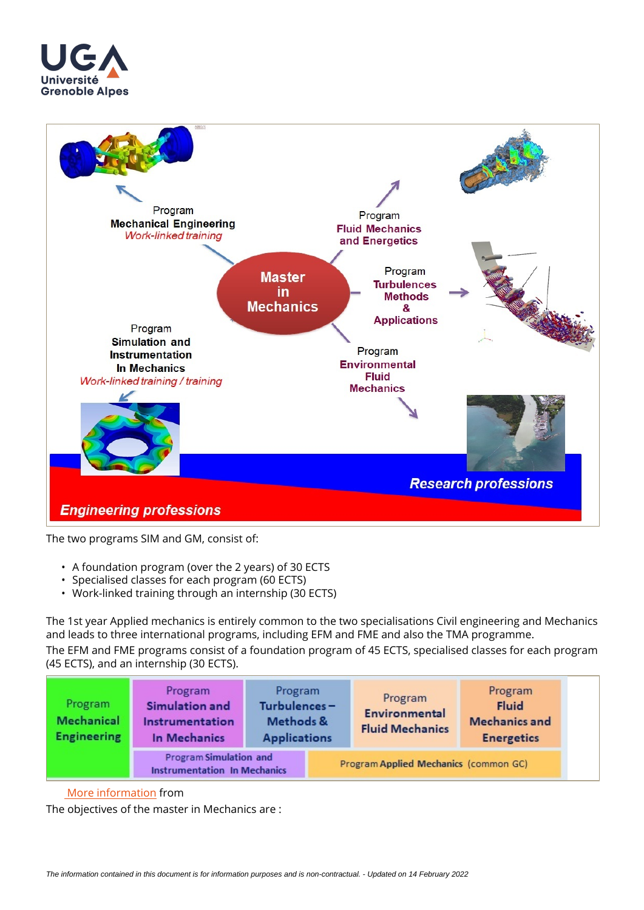



The two programs SIM and GM, consist of:

- A foundation program (over the 2 years) of 30 ECTS
- Specialised classes for each program (60 ECTS)
- Work-linked training through an internship (30 ECTS)

The 1st year Applied mechanics is entirely common to the two specialisations Civil engineering and Mechanics and leads to three international programs, including EFM and FME and also the TMA programme.

The EFM and FME programs consist of a foundation program of 45 ECTS, specialised classes for each program (45 ECTS), and an internship (30 ECTS).

| Program<br><b>Mechanical</b><br><b>Engineering</b> | Program<br>Simulation and<br>Instrumentation<br>In Mechanics  | Program<br>Turbulences-<br>Methods &<br><b>Applications</b> |                                       | Program<br><b>Environmental</b><br><b>Fluid Mechanics</b> | Program<br><b>Fluid</b><br><b>Mechanics and</b><br><b>Energetics</b> |
|----------------------------------------------------|---------------------------------------------------------------|-------------------------------------------------------------|---------------------------------------|-----------------------------------------------------------|----------------------------------------------------------------------|
|                                                    | Program Simulation and<br><b>Instrumentation In Mechanics</b> |                                                             | Program Applied Mechanics (common GC) |                                                           |                                                                      |

#### More information from

The objectives of the master in Mechanics are :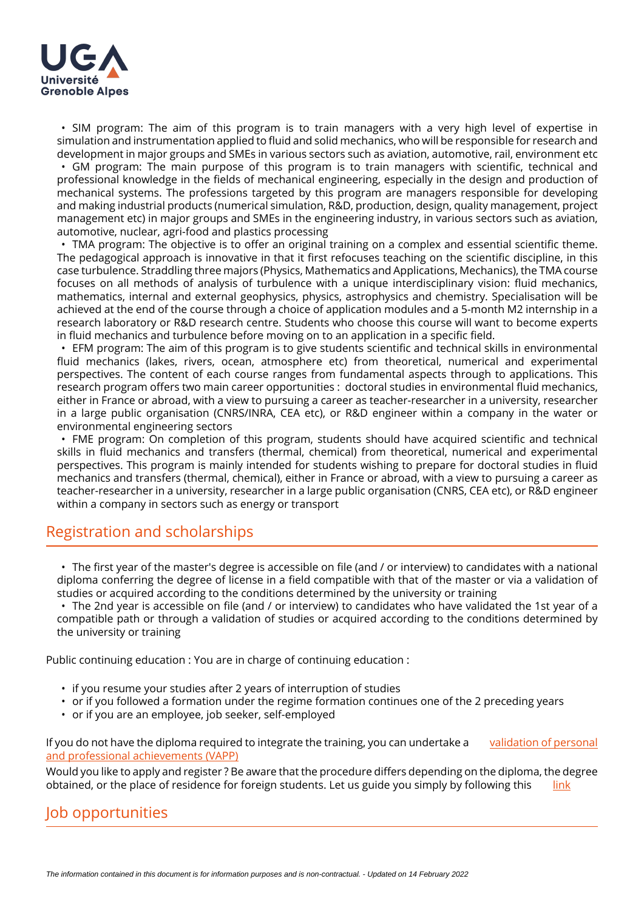

• SIM program: The aim of this program is to train managers with a very high level of expertise in simulation and instrumentation applied to fluid and solid mechanics, who will be responsible for research and development in major groups and SMEs in various sectors such as aviation, automotive, rail, environment etc

• GM program: The main purpose of this program is to train managers with scientific, technical and professional knowledge in the fields of mechanical engineering, especially in the design and production of mechanical systems. The professions targeted by this program are managers responsible for developing and making industrial products (numerical simulation, R&D, production, design, quality management, project management etc) in major groups and SMEs in the engineering industry, in various sectors such as aviation, automotive, nuclear, agri-food and plastics processing

• TMA program: The objective is to offer an original training on a complex and essential scientific theme. The pedagogical approach is innovative in that it first refocuses teaching on the scientific discipline, in this case turbulence. Straddling three majors (Physics, Mathematics and Applications, Mechanics), the TMA course focuses on all methods of analysis of turbulence with a unique interdisciplinary vision: fluid mechanics, mathematics, internal and external geophysics, physics, astrophysics and chemistry. Specialisation will be achieved at the end of the course through a choice of application modules and a 5-month M2 internship in a research laboratory or R&D research centre. Students who choose this course will want to become experts in fluid mechanics and turbulence before moving on to an application in a specific field.

• EFM program: The aim of this program is to give students scientific and technical skills in environmental fluid mechanics (lakes, rivers, ocean, atmosphere etc) from theoretical, numerical and experimental perspectives. The content of each course ranges from fundamental aspects through to applications. This research program offers two main career opportunities : doctoral studies in environmental fluid mechanics, either in France or abroad, with a view to pursuing a career as teacher-researcher in a university, researcher in a large public organisation (CNRS/INRA, CEA etc), or R&D engineer within a company in the water or environmental engineering sectors

• FME program: On completion of this program, students should have acquired scientific and technical skills in fluid mechanics and transfers (thermal, chemical) from theoretical, numerical and experimental perspectives. This program is mainly intended for students wishing to prepare for doctoral studies in fluid mechanics and transfers (thermal, chemical), either in France or abroad, with a view to pursuing a career as teacher-researcher in a university, researcher in a large public organisation (CNRS, CEA etc), or R&D engineer within a company in sectors such as energy or transport

## Registration and scholarships

• The first year of the master's degree is accessible on file (and / or interview) to candidates with a national diploma conferring the degree of license in a field compatible with that of the master or via a validation of studies or acquired according to the conditions determined by the university or training

• The 2nd year is accessible on file (and / or interview) to candidates who have validated the 1st year of a compatible path or through a validation of studies or acquired according to the conditions determined by the university or training

Public continuing education : You are in charge of continuing education :

- if you resume your studies after 2 years of interruption of studies
- or if you followed a formation under the regime formation continues one of the 2 preceding years
- or if you are an employee, job seeker, self-employed

If you do not have the diploma required to integrate the training, you can undertake a validation of personal [and professional achievements \(VAPP\)](https://www.univ-grenoble-alpes.fr/construire-son-parcours/valider-ses-acquis/validation-des-acquis-personnels-et-professionnels-vapp-/)

Would you like to apply and register? Be aware that the procedure differs depending on the diploma, the degree obtained, or the place of residence for foreign students. Let us guide you simply by following this

## Job opportunities